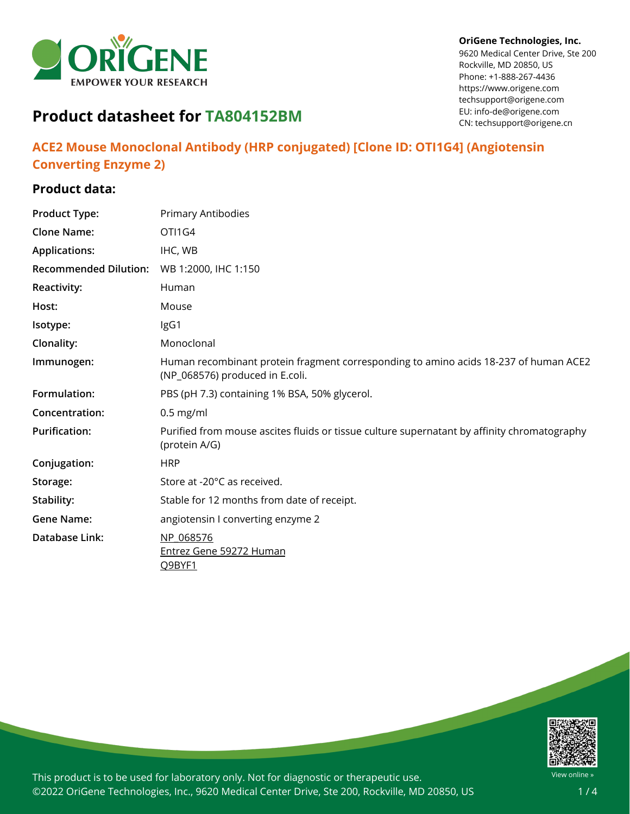

#### **OriGene Technologies, Inc.**

9620 Medical Center Drive, Ste 200 Rockville, MD 20850, US Phone: +1-888-267-4436 https://www.origene.com techsupport@origene.com EU: info-de@origene.com CN: techsupport@origene.cn

# **Product datasheet for TA804152BM**

## **ACE2 Mouse Monoclonal Antibody (HRP conjugated) [Clone ID: OTI1G4] (Angiotensin Converting Enzyme 2)**

## **Product data:**

| <b>Product Type:</b>         | Primary Antibodies                                                                                                      |
|------------------------------|-------------------------------------------------------------------------------------------------------------------------|
| <b>Clone Name:</b>           | OTI1G4                                                                                                                  |
| <b>Applications:</b>         | IHC, WB                                                                                                                 |
| <b>Recommended Dilution:</b> | WB 1:2000, IHC 1:150                                                                                                    |
| <b>Reactivity:</b>           | Human                                                                                                                   |
| Host:                        | Mouse                                                                                                                   |
| Isotype:                     | IgG1                                                                                                                    |
| Clonality:                   | Monoclonal                                                                                                              |
| Immunogen:                   | Human recombinant protein fragment corresponding to amino acids 18-237 of human ACE2<br>(NP_068576) produced in E.coli. |
| Formulation:                 | PBS (pH 7.3) containing 1% BSA, 50% glycerol.                                                                           |
| Concentration:               | $0.5$ mg/ml                                                                                                             |
| <b>Purification:</b>         | Purified from mouse ascites fluids or tissue culture supernatant by affinity chromatography<br>(protein A/G)            |
| Conjugation:                 | <b>HRP</b>                                                                                                              |
| Storage:                     | Store at -20°C as received.                                                                                             |
| Stability:                   | Stable for 12 months from date of receipt.                                                                              |
| <b>Gene Name:</b>            | angiotensin I converting enzyme 2                                                                                       |
| Database Link:               | NP 068576                                                                                                               |
|                              | <b>Entrez Gene 59272 Human</b><br>Q9BYF1                                                                                |

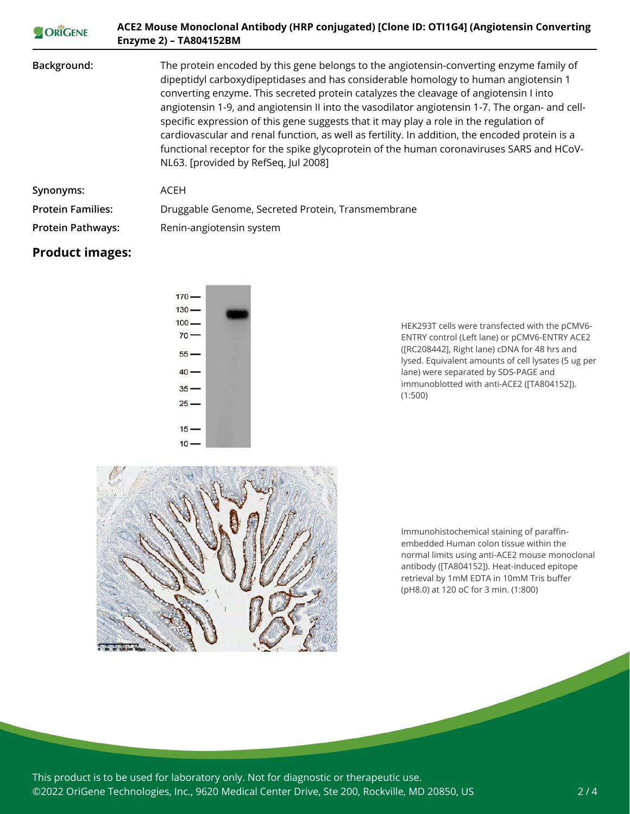| ORIGENE                  | ACE2 Mouse Monoclonal Antibody (HRP conjugated) [Clone ID: OTI1G4] (Angiotensin Converting<br>Enzyme 2) - TA804152BM                                                                                                                                                                                                                                                                                                                                                                                                                                                                                                                                                                                      |
|--------------------------|-----------------------------------------------------------------------------------------------------------------------------------------------------------------------------------------------------------------------------------------------------------------------------------------------------------------------------------------------------------------------------------------------------------------------------------------------------------------------------------------------------------------------------------------------------------------------------------------------------------------------------------------------------------------------------------------------------------|
| Background:              | The protein encoded by this gene belongs to the angiotensin-converting enzyme family of<br>dipeptidyl carboxydipeptidases and has considerable homology to human angiotensin 1<br>converting enzyme. This secreted protein catalyzes the cleavage of angiotensin I into<br>angiotensin 1-9, and angiotensin II into the vasodilator angiotensin 1-7. The organ- and cell-<br>specific expression of this gene suggests that it may play a role in the regulation of<br>cardiovascular and renal function, as well as fertility. In addition, the encoded protein is a<br>functional receptor for the spike glycoprotein of the human coronaviruses SARS and HCoV-<br>NL63. [provided by RefSeq, Jul 2008] |
| Synonyms:                | <b>ACEH</b>                                                                                                                                                                                                                                                                                                                                                                                                                                                                                                                                                                                                                                                                                               |
| <b>Protein Families:</b> | Druggable Genome, Secreted Protein, Transmembrane                                                                                                                                                                                                                                                                                                                                                                                                                                                                                                                                                                                                                                                         |
| <b>Protein Pathways:</b> | Renin-angiotensin system                                                                                                                                                                                                                                                                                                                                                                                                                                                                                                                                                                                                                                                                                  |

## **Product images:**



HEK293T cells were transfected with the pCMV6- ENTRY control (Left lane) or pCMV6-ENTRY ACE2 ([RC208442], Right lane) cDNA for 48 hrs and lysed. Equivalent amounts of cell lysates (5 ug per lane) were separated by SDS-PAGE and immunoblotted with anti-ACE2 ([TA804152]). (1:500)



Immunohistochemical staining of paraffinembedded Human colon tissue within the normal limits using anti-ACE2 mouse monoclonal antibody ([TA804152]). Heat-induced epitope retrieval by 1mM EDTA in 10mM Tris buffer (pH8.0) at 120 oC for 3 min. (1:800)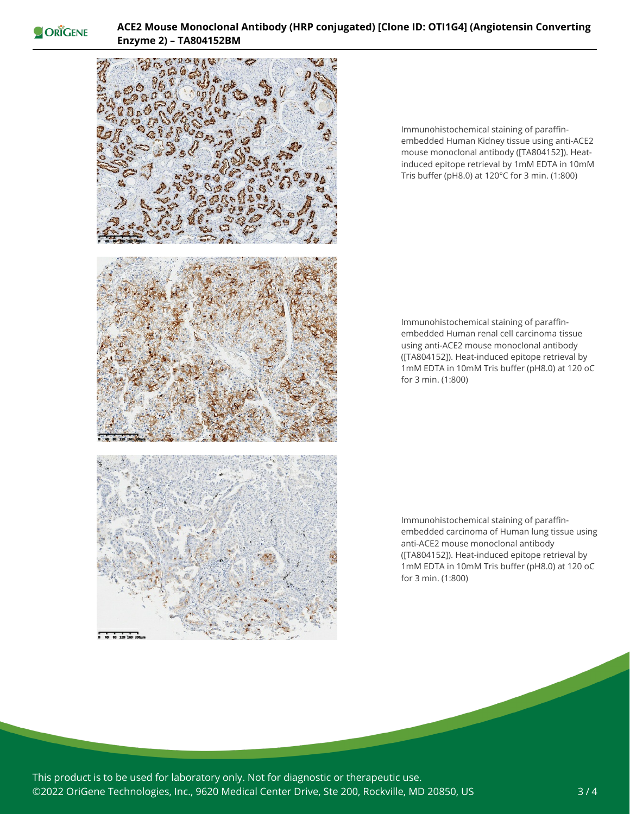ORIGENE



Immunohistochemical staining of paraffinembedded Human Kidney tissue using anti-ACE2 mouse monoclonal antibody ([TA804152]). Heatinduced epitope retrieval by 1mM EDTA in 10mM Tris buffer (pH8.0) at 120°C for 3 min. (1:800)

Immunohistochemical staining of paraffinembedded Human renal cell carcinoma tissue using anti-ACE2 mouse monoclonal antibody ([TA804152]). Heat-induced epitope retrieval by 1mM EDTA in 10mM Tris buffer (pH8.0) at 120 oC for 3 min. (1:800)

Immunohistochemical staining of paraffinembedded carcinoma of Human lung tissue using anti-ACE2 mouse monoclonal antibody ([TA804152]). Heat-induced epitope retrieval by 1mM EDTA in 10mM Tris buffer (pH8.0) at 120 oC for 3 min. (1:800)